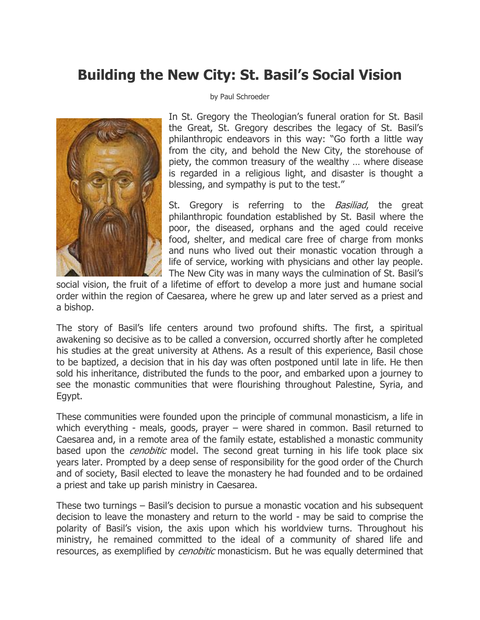## **Building the New City: St. Basil's Social Vision**



## by Paul Schroeder

In St. Gregory the Theologian's funeral oration for St. Basil the Great, St. Gregory describes the legacy of St. Basil's philanthropic endeavors in this way: "Go forth a little way from the city, and behold the New City, the storehouse of piety, the common treasury of the wealthy … where disease is regarded in a religious light, and disaster is thought a blessing, and sympathy is put to the test."

St. Gregory is referring to the *Basiliad*, the great philanthropic foundation established by St. Basil where the poor, the diseased, orphans and the aged could receive food, shelter, and medical care free of charge from monks and nuns who lived out their monastic vocation through a life of service, working with physicians and other lay people. The New City was in many ways the culmination of St. Basil's

social vision, the fruit of a lifetime of effort to develop a more just and humane social order within the region of Caesarea, where he grew up and later served as a priest and a bishop.

The story of Basil's life centers around two profound shifts. The first, a spiritual awakening so decisive as to be called a conversion, occurred shortly after he completed his studies at the great university at Athens. As a result of this experience, Basil chose to be baptized, a decision that in his day was often postponed until late in life. He then sold his inheritance, distributed the funds to the poor, and embarked upon a journey to see the monastic communities that were flourishing throughout Palestine, Syria, and Egypt.

These communities were founded upon the principle of communal monasticism, a life in which everything - meals, goods, prayer – were shared in common. Basil returned to Caesarea and, in a remote area of the family estate, established a monastic community based upon the *cenobitic* model. The second great turning in his life took place six years later. Prompted by a deep sense of responsibility for the good order of the Church and of society, Basil elected to leave the monastery he had founded and to be ordained a priest and take up parish ministry in Caesarea.

These two turnings – Basil's decision to pursue a monastic vocation and his subsequent decision to leave the monastery and return to the world - may be said to comprise the polarity of Basil's vision, the axis upon which his worldview turns. Throughout his ministry, he remained committed to the ideal of a community of shared life and resources, as exemplified by *cenobitic* monasticism. But he was equally determined that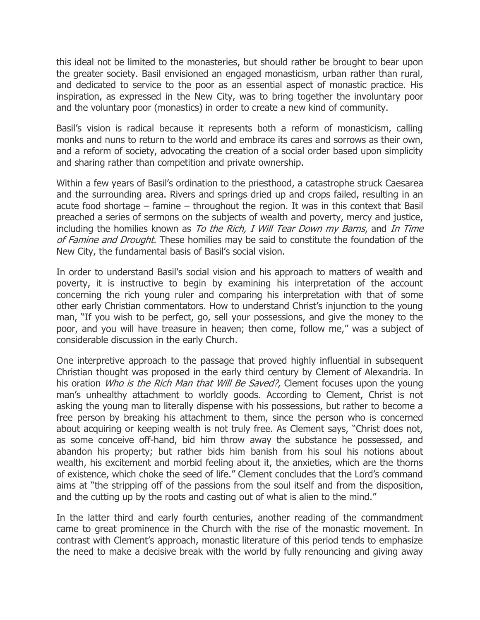this ideal not be limited to the monasteries, but should rather be brought to bear upon the greater society. Basil envisioned an engaged monasticism, urban rather than rural, and dedicated to service to the poor as an essential aspect of monastic practice. His inspiration, as expressed in the New City, was to bring together the involuntary poor and the voluntary poor (monastics) in order to create a new kind of community.

Basil's vision is radical because it represents both a reform of monasticism, calling monks and nuns to return to the world and embrace its cares and sorrows as their own, and a reform of society, advocating the creation of a social order based upon simplicity and sharing rather than competition and private ownership.

Within a few years of Basil's ordination to the priesthood, a catastrophe struck Caesarea and the surrounding area. Rivers and springs dried up and crops failed, resulting in an acute food shortage – famine – throughout the region. It was in this context that Basil preached a series of sermons on the subjects of wealth and poverty, mercy and justice, including the homilies known as To the Rich, I Will Tear Down my Barns, and In Time of Famine and Drought. These homilies may be said to constitute the foundation of the New City, the fundamental basis of Basil's social vision.

In order to understand Basil's social vision and his approach to matters of wealth and poverty, it is instructive to begin by examining his interpretation of the account concerning the rich young ruler and comparing his interpretation with that of some other early Christian commentators. How to understand Christ's injunction to the young man, "If you wish to be perfect, go, sell your possessions, and give the money to the poor, and you will have treasure in heaven; then come, follow me," was a subject of considerable discussion in the early Church.

One interpretive approach to the passage that proved highly influential in subsequent Christian thought was proposed in the early third century by Clement of Alexandria. In his oration *Who is the Rich Man that Will Be Saved?*, Clement focuses upon the young man's unhealthy attachment to worldly goods. According to Clement, Christ is not asking the young man to literally dispense with his possessions, but rather to become a free person by breaking his attachment to them, since the person who is concerned about acquiring or keeping wealth is not truly free. As Clement says, "Christ does not, as some conceive off-hand, bid him throw away the substance he possessed, and abandon his property; but rather bids him banish from his soul his notions about wealth, his excitement and morbid feeling about it, the anxieties, which are the thorns of existence, which choke the seed of life." Clement concludes that the Lord's command aims at "the stripping off of the passions from the soul itself and from the disposition, and the cutting up by the roots and casting out of what is alien to the mind."

In the latter third and early fourth centuries, another reading of the commandment came to great prominence in the Church with the rise of the monastic movement. In contrast with Clement's approach, monastic literature of this period tends to emphasize the need to make a decisive break with the world by fully renouncing and giving away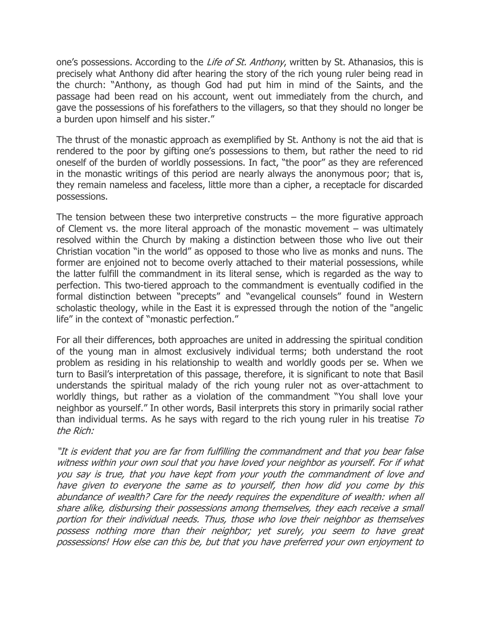one's possessions. According to the *Life of St. Anthony*, written by St. Athanasios, this is precisely what Anthony did after hearing the story of the rich young ruler being read in the church: "Anthony, as though God had put him in mind of the Saints, and the passage had been read on his account, went out immediately from the church, and gave the possessions of his forefathers to the villagers, so that they should no longer be a burden upon himself and his sister."

The thrust of the monastic approach as exemplified by St. Anthony is not the aid that is rendered to the poor by gifting one's possessions to them, but rather the need to rid oneself of the burden of worldly possessions. In fact, "the poor" as they are referenced in the monastic writings of this period are nearly always the anonymous poor; that is, they remain nameless and faceless, little more than a cipher, a receptacle for discarded possessions.

The tension between these two interpretive constructs – the more figurative approach of Clement vs. the more literal approach of the monastic movement – was ultimately resolved within the Church by making a distinction between those who live out their Christian vocation "in the world" as opposed to those who live as monks and nuns. The former are enjoined not to become overly attached to their material possessions, while the latter fulfill the commandment in its literal sense, which is regarded as the way to perfection. This two-tiered approach to the commandment is eventually codified in the formal distinction between "precepts" and "evangelical counsels" found in Western scholastic theology, while in the East it is expressed through the notion of the "angelic life" in the context of "monastic perfection."

For all their differences, both approaches are united in addressing the spiritual condition of the young man in almost exclusively individual terms; both understand the root problem as residing in his relationship to wealth and worldly goods per se. When we turn to Basil's interpretation of this passage, therefore, it is significant to note that Basil understands the spiritual malady of the rich young ruler not as over-attachment to worldly things, but rather as a violation of the commandment "You shall love your neighbor as yourself." In other words, Basil interprets this story in primarily social rather than individual terms. As he says with regard to the rich young ruler in his treatise  $To$ the Rich:

"It is evident that you are far from fulfilling the commandment and that you bear false witness within your own soul that you have loved your neighbor as yourself. For if what you say is true, that you have kept from your youth the commandment of love and have given to everyone the same as to yourself, then how did you come by this abundance of wealth? Care for the needy requires the expenditure of wealth: when all share alike, disbursing their possessions among themselves, they each receive a small portion for their individual needs. Thus, those who love their neighbor as themselves possess nothing more than their neighbor; yet surely, you seem to have great possessions! How else can this be, but that you have preferred your own enjoyment to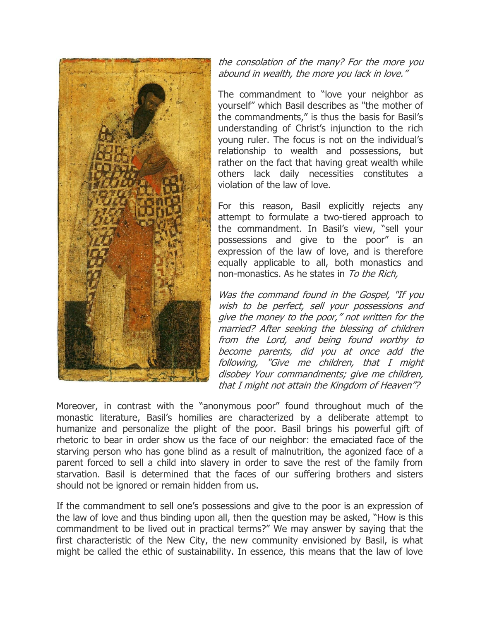

the consolation of the many? For the more you abound in wealth, the more you lack in love."

The commandment to "love your neighbor as yourself" which Basil describes as "the mother of the commandments," is thus the basis for Basil's understanding of Christ's injunction to the rich young ruler. The focus is not on the individual's relationship to wealth and possessions, but rather on the fact that having great wealth while others lack daily necessities constitutes a violation of the law of love.

For this reason, Basil explicitly rejects any attempt to formulate a two-tiered approach to the commandment. In Basil's view, "sell your possessions and give to the poor" is an expression of the law of love, and is therefore equally applicable to all, both monastics and non-monastics. As he states in To the Rich,

Was the command found in the Gospel, "If you wish to be perfect, sell your possessions and give the money to the poor," not written for the married? After seeking the blessing of children from the Lord, and being found worthy to become parents, did you at once add the following, "Give me children, that I might disobey Your commandments; give me children, that I might not attain the Kingdom of Heaven"?

Moreover, in contrast with the "anonymous poor" found throughout much of the monastic literature, Basil's homilies are characterized by a deliberate attempt to humanize and personalize the plight of the poor. Basil brings his powerful gift of rhetoric to bear in order show us the face of our neighbor: the emaciated face of the starving person who has gone blind as a result of malnutrition, the agonized face of a parent forced to sell a child into slavery in order to save the rest of the family from starvation. Basil is determined that the faces of our suffering brothers and sisters should not be ignored or remain hidden from us.

If the commandment to sell one's possessions and give to the poor is an expression of the law of love and thus binding upon all, then the question may be asked, "How is this commandment to be lived out in practical terms?" We may answer by saying that the first characteristic of the New City, the new community envisioned by Basil, is what might be called the ethic of sustainability. In essence, this means that the law of love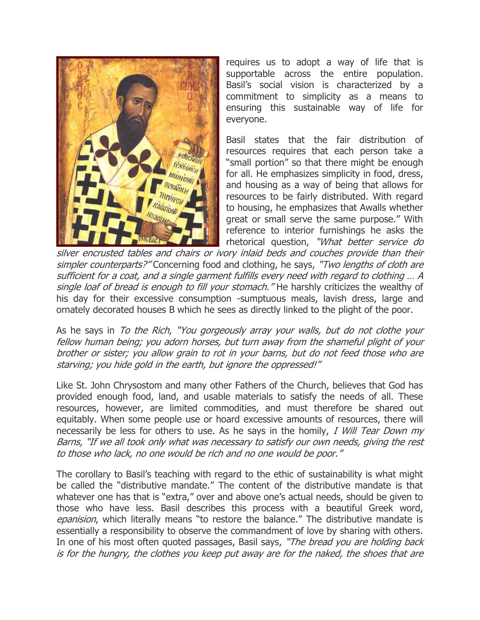

requires us to adopt a way of life that is supportable across the entire population. Basil's social vision is characterized by a commitment to simplicity as a means to ensuring this sustainable way of life for everyone.

Basil states that the fair distribution of resources requires that each person take a "small portion" so that there might be enough for all. He emphasizes simplicity in food, dress, and housing as a way of being that allows for resources to be fairly distributed. With regard to housing, he emphasizes that Awalls whether great or small serve the same purpose." With reference to interior furnishings he asks the rhetorical question, "What better service do

silver encrusted tables and chairs or ivory inlaid beds and couches provide than their simpler counterparts?" Concerning food and clothing, he says, "Two lengths of cloth are sufficient for a coat, and a single garment fulfills every need with regard to clothing … A single loaf of bread is enough to fill your stomach." He harshly criticizes the wealthy of his day for their excessive consumption -sumptuous meals, lavish dress, large and ornately decorated houses B which he sees as directly linked to the plight of the poor.

As he says in To the Rich, "You gorgeously array your walls, but do not clothe your fellow human being; you adorn horses, but turn away from the shameful plight of your brother or sister; you allow grain to rot in your barns, but do not feed those who are starving; you hide gold in the earth, but ignore the oppressed!"

Like St. John Chrysostom and many other Fathers of the Church, believes that God has provided enough food, land, and usable materials to satisfy the needs of all. These resources, however, are limited commodities, and must therefore be shared out equitably. When some people use or hoard excessive amounts of resources, there will necessarily be less for others to use. As he says in the homily, I Will Tear Down my Barns, "If we all took only what was necessary to satisfy our own needs, giving the rest to those who lack, no one would be rich and no one would be poor."

The corollary to Basil's teaching with regard to the ethic of sustainability is what might be called the "distributive mandate." The content of the distributive mandate is that whatever one has that is "extra," over and above one's actual needs, should be given to those who have less. Basil describes this process with a beautiful Greek word, epanision, which literally means "to restore the balance." The distributive mandate is essentially a responsibility to observe the commandment of love by sharing with others. In one of his most often quoted passages, Basil says, "The bread you are holding back is for the hungry, the clothes you keep put away are for the naked, the shoes that are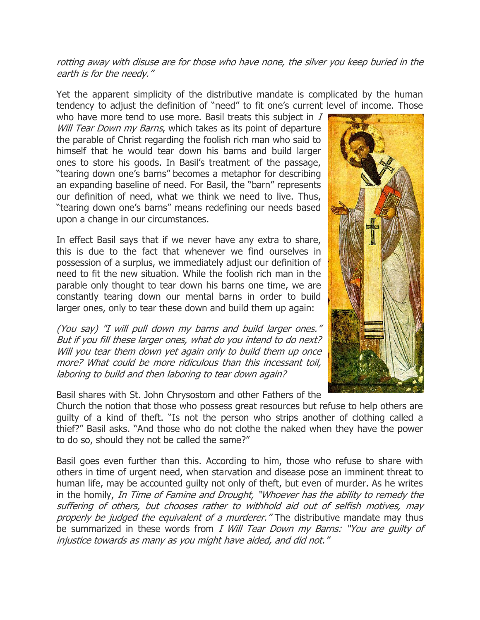## rotting away with disuse are for those who have none, the silver you keep buried in the earth is for the needy."

Yet the apparent simplicity of the distributive mandate is complicated by the human tendency to adjust the definition of "need" to fit one's current level of income. Those

who have more tend to use more. Basil treats this subject in  $I$ Will Tear Down my Barns, which takes as its point of departure the parable of Christ regarding the foolish rich man who said to himself that he would tear down his barns and build larger ones to store his goods. In Basil's treatment of the passage, "tearing down one's barns" becomes a metaphor for describing an expanding baseline of need. For Basil, the "barn" represents our definition of need, what we think we need to live. Thus, "tearing down one's barns" means redefining our needs based upon a change in our circumstances.

In effect Basil says that if we never have any extra to share, this is due to the fact that whenever we find ourselves in possession of a surplus, we immediately adjust our definition of need to fit the new situation. While the foolish rich man in the parable only thought to tear down his barns one time, we are constantly tearing down our mental barns in order to build larger ones, only to tear these down and build them up again:

(You say) "I will pull down my barns and build larger ones." But if you fill these larger ones, what do you intend to do next? Will you tear them down yet again only to build them up once more? What could be more ridiculous than this incessant toil, laboring to build and then laboring to tear down again?

Basil shares with St. John Chrysostom and other Fathers of the

Church the notion that those who possess great resources but refuse to help others are guilty of a kind of theft. "Is not the person who strips another of clothing called a thief?" Basil asks. "And those who do not clothe the naked when they have the power to do so, should they not be called the same?"

Basil goes even further than this. According to him, those who refuse to share with others in time of urgent need, when starvation and disease pose an imminent threat to human life, may be accounted guilty not only of theft, but even of murder. As he writes in the homily, In Time of Famine and Drought, "Whoever has the ability to remedy the suffering of others, but chooses rather to withhold aid out of selfish motives, may properly be judged the equivalent of a murderer." The distributive mandate may thus be summarized in these words from I Will Tear Down my Barns: "You are guilty of injustice towards as many as you might have aided, and did not."